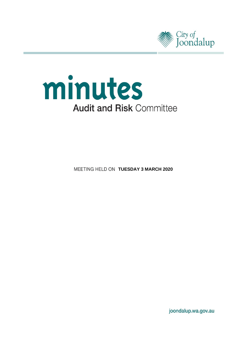



**MEETING HELD ON TUESDAY 3 MARCH 2020** 

joondalup.wa.gov.au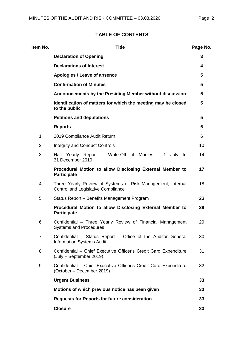# **TABLE OF CONTENTS**

| Item No.       | <b>Title</b>                                                                                             | Page No. |
|----------------|----------------------------------------------------------------------------------------------------------|----------|
|                | <b>Declaration of Opening</b>                                                                            | 3        |
|                | <b>Declarations of Interest</b>                                                                          | 4        |
|                | Apologies / Leave of absence                                                                             | 5        |
|                | <b>Confirmation of Minutes</b>                                                                           | 5        |
|                | Announcements by the Presiding Member without discussion                                                 | 5        |
|                | Identification of matters for which the meeting may be closed<br>to the public                           | 5        |
|                | <b>Petitions and deputations</b>                                                                         | 5        |
|                | <b>Reports</b>                                                                                           | 6        |
| $\mathbf 1$    | 2019 Compliance Audit Return                                                                             | 6        |
| $\overline{2}$ | <b>Integrity and Conduct Controls</b>                                                                    | 10       |
| 3              | Half Yearly Report - Write-Off of Monies - 1<br>July to<br>31 December 2019                              | 14       |
|                | Procedural Motion to allow Disclosing External Member to<br><b>Participate</b>                           | 17       |
| 4              | Three Yearly Review of Systems of Risk Management, Internal<br><b>Control and Legislative Compliance</b> | 18       |
| 5              | Status Report - Benefits Management Program                                                              | 23       |
|                | Procedural Motion to allow Disclosing External Member to<br><b>Participate</b>                           | 28       |
| 6              | Confidential - Three Yearly Review of Financial Management<br><b>Systems and Procedures</b>              | 29       |
| $\overline{7}$ | Confidential – Status Report – Office of the Auditor General<br><b>Information Systems Audit</b>         | 30       |
| 8              | Confidential - Chief Executive Officer's Credit Card Expenditure<br>(July – September 2019)              | 31       |
| 9              | Confidential - Chief Executive Officer's Credit Card Expenditure<br>(October – December 2019)            | 32       |
|                | <b>Urgent Business</b>                                                                                   | 33       |
|                | Motions of which previous notice has been given                                                          | 33       |
|                | Requests for Reports for future consideration                                                            | 33       |
|                | <b>Closure</b>                                                                                           | 33       |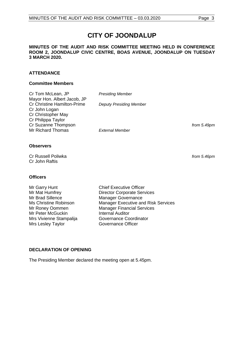# **CITY OF JOONDALUP**

#### **MINUTES OF THE AUDIT AND RISK COMMITTEE MEETING HELD IN CONFERENCE ROOM 2, JOONDALUP CIVIC CENTRE, BOAS AVENUE, JOONDALUP ON TUESDAY 3 MARCH 2020.**

# **ATTENDANCE**

#### **Committee Members**

| Cr Tom McLean, JP                  | <b>Presiding Member</b>        |               |
|------------------------------------|--------------------------------|---------------|
| Mayor Hon. Albert Jacob, JP        |                                |               |
| <b>Cr Christine Hamilton-Prime</b> | <b>Deputy Presiding Member</b> |               |
| Cr John Logan                      |                                |               |
| Cr Christopher May                 |                                |               |
| Cr Philippa Taylor                 |                                |               |
| Cr Suzanne Thompson                |                                | from $5.49pr$ |
| Mr Richard Thomas                  | <b>External Member</b>         |               |
|                                    |                                |               |

# **Observers**

Cr Russell Poliwka *from 5.46pm* Cr John Raftis

# **Officers**

Mr Garry Hunt Chief Executive Officer<br>
Mr Mat Humfrev Corporate Server Mr Mat Humfrey **Director Corporate Services**<br>Mr Brad Sillence Manager Governance Mr Roney Oommen Manager Financial Services<br>
Mr Peter McGuckin
Mr Peter McGuckin
Mr Peter McGuckin
Mr Peter McGuckin
Mr Peter McGuckin
Mr Peter McGuckin
Mr Peter McGuckin
Mr Peter McGuckin
Mr Peter McGuckin
Mr Peter McGucki Mr Peter McGuckin Mrs Vivienne Stampalija<br>
Mrs Leslev Tavlor<br>
Governance Officer Mrs Lesley Taylor

Manager Governance Ms Christine Robinson Manager Executive and Risk Services

# <span id="page-2-0"></span>**DECLARATION OF OPENING**

The Presiding Member declared the meeting open at 5.45pm.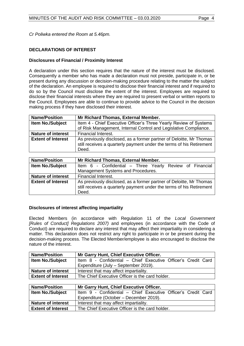*Cr Poliwka entered the Room at 5.46pm.*

# <span id="page-3-0"></span>**DECLARATIONS OF INTEREST**

#### **Disclosures of Financial / Proximity Interest**

A declaration under this section requires that the nature of the interest must be disclosed. Consequently a member who has made a declaration must not preside, participate in, or be present during any discussion or decision-making procedure relating to the matter the subject of the declaration. An employee is required to disclose their financial interest and if required to do so by the Council must disclose the extent of the interest. Employees are required to disclose their financial interests where they are required to present verbal or written reports to the Council. Employees are able to continue to provide advice to the Council in the decision making process if they have disclosed their interest.

| <b>Name/Position</b>      | Mr Richard Thomas, External Member.                                                                                                                  |  |  |
|---------------------------|------------------------------------------------------------------------------------------------------------------------------------------------------|--|--|
| <b>Item No./Subject</b>   | Item 4 - Chief Executive Officer's Three Yearly Review of Systems                                                                                    |  |  |
|                           | of Risk Management, Internal Control and Legislative Compliance.                                                                                     |  |  |
| <b>Nature of interest</b> | Financial Interest.                                                                                                                                  |  |  |
| <b>Extent of Interest</b> | As previously disclosed, as a former partner of Deloitte, Mr Thomas<br>still receives a quarterly payment under the terms of his Retirement<br>Deed. |  |  |

| <b>Name/Position</b>      | Mr Richard Thomas, External Member.                                                                                                                  |
|---------------------------|------------------------------------------------------------------------------------------------------------------------------------------------------|
| <b>Item No./Subject</b>   | Item 6 - Confidential – Three Yearly Review of Financial                                                                                             |
|                           | Management Systems and Procedures.                                                                                                                   |
| <b>Nature of interest</b> | Financial Interest.                                                                                                                                  |
| <b>Extent of Interest</b> | As previously disclosed, as a former partner of Deloitte, Mr Thomas<br>still receives a quarterly payment under the terms of his Retirement<br>Deed. |

# **Disclosures of interest affecting impartiality**

Elected Members (in accordance with Regulation 11 of the *Local Government [Rules of Conduct] Regulations 2007)* and employees (in accordance with the Code of Conduct) are required to declare any interest that may affect their impartiality in considering a matter. This declaration does not restrict any right to participate in or be present during the decision-making process. The Elected Member/employee is also encouraged to disclose the nature of the interest.

| <b>Name/Position</b>      | Mr Garry Hunt, Chief Executive Officer.                       |
|---------------------------|---------------------------------------------------------------|
| <b>Item No./Subject</b>   | Item 8 - Confidential - Chief Executive Officer's Credit Card |
|                           | Expenditure (July - September 2019).                          |
| <b>Nature of interest</b> | Interest that may affect impartiality.                        |
| <b>Extent of Interest</b> | The Chief Executive Officer is the card holder.               |

| <b>Name/Position</b>      | Mr Garry Hunt, Chief Executive Officer.                       |  |  |
|---------------------------|---------------------------------------------------------------|--|--|
| <b>Item No./Subject</b>   | Item 9 - Confidential - Chief Executive Officer's Credit Card |  |  |
|                           | Expenditure (October - December 2019).                        |  |  |
| <b>Nature of interest</b> | Interest that may affect impartiality.                        |  |  |
| <b>Extent of Interest</b> | The Chief Executive Officer is the card holder.               |  |  |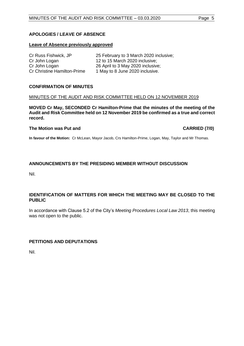# <span id="page-4-0"></span>**APOLOGIES / LEAVE OF ABSENCE**

#### **Leave of Absence previously approved**

| Cr Russ Fishwick, JP               | 25 February to 3 March 2020 inclusive; |
|------------------------------------|----------------------------------------|
| Cr John Logan                      | 12 to 15 March 2020 inclusive;         |
| Cr John Logan                      | 26 April to 3 May 2020 inclusive;      |
| <b>Cr Christine Hamilton-Prime</b> | 1 May to 8 June 2020 inclusive.        |

#### <span id="page-4-1"></span>**CONFIRMATION OF MINUTES**

#### MINUTES OF THE AUDIT AND RISK COMMITTEE HELD ON 12 NOVEMBER 2019

**MOVED Cr May, SECONDED Cr Hamilton-Prime that the minutes of the meeting of the Audit and Risk Committee held on 12 November 2019 be confirmed as a true and correct record.**

#### **The Motion was Put and CARRIED (7/0)**

**In favour of the Motion:** Cr McLean, Mayor Jacob, Crs Hamilton-Prime, Logan, May, Taylor and Mr Thomas.

# <span id="page-4-2"></span>**ANNOUNCEMENTS BY THE PRESIDING MEMBER WITHOUT DISCUSSION**

Nil.

# <span id="page-4-3"></span>**IDENTIFICATION OF MATTERS FOR WHICH THE MEETING MAY BE CLOSED TO THE PUBLIC**

In accordance with Clause 5.2 of the City's *Meeting Procedures Local Law 2013*, this meeting was not open to the public.

# <span id="page-4-4"></span>**PETITIONS AND DEPUTATIONS**

Nil.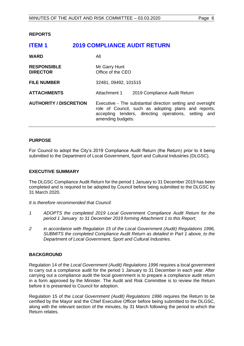<span id="page-5-0"></span>**REPORTS**

<span id="page-5-1"></span>

| <b>2019 COMPLIANCE AUDIT RETURN</b>                                                                                                                                                                                               |
|-----------------------------------------------------------------------------------------------------------------------------------------------------------------------------------------------------------------------------------|
| All                                                                                                                                                                                                                               |
| Mr Garry Hunt<br>Office of the CEO                                                                                                                                                                                                |
| 32481, 09492, 101515                                                                                                                                                                                                              |
| Attachment 1<br>2019 Compliance Audit Return                                                                                                                                                                                      |
| <b>AUTHORITY / DISCRETION</b><br>Executive - The substantial direction setting and oversight<br>role of Council, such as adopting plans and reports,<br>accepting tenders, directing operations, setting and<br>amending budgets. |
|                                                                                                                                                                                                                                   |

#### **PURPOSE**

For Council to adopt the City's 2019 Compliance Audit Return (the Return) prior to it being submitted to the Department of Local Government, Sport and Cultural Industries (DLGSC).

#### **EXECUTIVE SUMMARY**

The DLGSC Compliance Audit Return for the period 1 January to 31 December 2019 has been completed and is required to be adopted by Council before being submitted to the DLGSC by 31 March 2020.

*It is therefore recommended that Council:*

- *1 ADOPTS the completed 2019 Local Government Compliance Audit Return for the period 1 January to 31 December 2019 forming Attachment 1 to this Report;*
- *2 in accordance with Regulation 15 of the Local Government (Audit) Regulations 1996, SUBMITS the completed Compliance Audit Return as detailed in Part 1 above, to the Department of Local Government, Sport and Cultural Industries.*

# **BACKGROUND**

Regulation 14 of the *Local Government (Audit) Regulations 1996* requires a local government to carry out a compliance audit for the period 1 January to 31 December in each year. After carrying out a compliance audit the local government is to prepare a compliance audit return in a form approved by the Minister. The Audit and Risk Committee is to review the Return before it is presented to Council for adoption.

Regulation 15 of the *Local Government (Audit) Regulations 1996* requires the Return to be certified by the Mayor and the Chief Executive Officer before being submitted to the DLGSC, along with the relevant section of the minutes, by 31 March following the period to which the Return relates.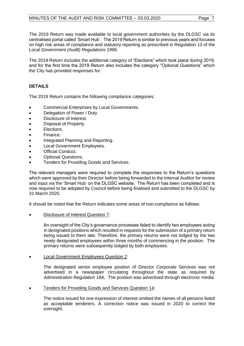The 2019 Return was made available to local government authorities by the DLGSC via its centralised portal called 'Smart Hub'. The 2019 Return is similar to previous years and focuses on high risk areas of compliance and statutory reporting as prescribed in Regulation 13 of the *Local Government (Audit) Regulations 1996.*

The 2019 Return includes the additional category of "Elections" which took place during 2019, and for the first time the 2019 Return also includes the category "Optional Questions" which the City has provided responses for.

# **DETAILS**

The 2019 Return contains the following compliance categories:

- Commercial Enterprises by Local Governments.
- Delegation of Power / Duty.
- Disclosure of Interest.
- Disposal of Property.
- Elections.
- Finance.
- Integrated Planning and Reporting.
- Local Government Employees.
- Official Conduct.
- Optional Questions.
- Tenders for Providing Goods and Services.

The relevant managers were required to complete the responses to the Return's questions which were approved by their Director before being forwarded to the Internal Auditor for review and input via the 'Smart Hub' on the DLGSC website. The Return has been completed and is now required to be adopted by Council before being finalised and submitted to the DLGSC by 31 March 2020.

It should be noted that the Return indicates some areas of non-compliance as follows:

• Disclosure of Interest Question 7:

An oversight of the City's governance processes failed to identify two employees acting in designated positions which resulted in requests for the submission of a primary return being issued to them late. Therefore, the primary returns were not lodged by the two newly designated employees within three months of commencing in the position. The primary returns were subsequently lodged by both employees.

• Local Government Employees Question 2:

The designated senior employee position of Director Corporate Services was not advertised in a newspaper circulating throughout the state as required by Administration Regulation 18A. The position was advertised through electronic media.

• Tenders for Providing Goods and Services Question 14:

The notice issued for one expression of interest omitted the names of all persons listed as acceptable tenderers. A correction notice was issued in 2020 to correct the oversight.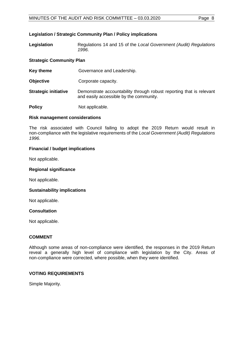# **Legislation / Strategic Community Plan / Policy implications**

**Legislation** Regulations 14 and 15 of the *Local Government (Audit) Regulations 1996*.

#### **Strategic Community Plan**

**Key theme Governance and Leadership.** 

- **Objective Corporate capacity.**
- **Strategic initiative** Demonstrate accountability through robust reporting that is relevant and easily accessible by the community.

**Policy** Not applicable.

# **Risk management considerations**

The risk associated with Council failing to adopt the 2019 Return would result in non-compliance with the legislative requirements of the *Local Government (Audit) Regulations 1996*.

#### **Financial / budget implications**

Not applicable.

#### **Regional significance**

Not applicable.

#### **Sustainability implications**

Not applicable.

#### **Consultation**

Not applicable.

#### **COMMENT**

Although some areas of non-compliance were identified, the responses in the 2019 Return reveal a generally high level of compliance with legislation by the City. Areas of non-compliance were corrected, where possible, when they were identified.

# **VOTING REQUIREMENTS**

Simple Majority.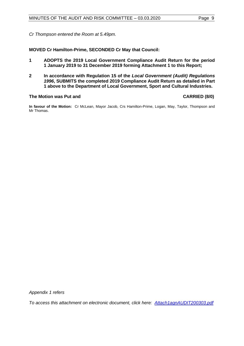*Cr Thompson entered the Room at 5.49pm.*

**MOVED Cr Hamilton-Prime, SECONDED Cr May that Council:**

- **1 ADOPTS the 2019 Local Government Compliance Audit Return for the period 1 January 2019 to 31 December 2019 forming Attachment 1 to this Report;**
- **2 In accordance with Regulation 15 of the** *Local Government (Audit) Regulations 1996***, SUBMITS the completed 2019 Compliance Audit Return as detailed in Part 1 above to the Department of Local Government, Sport and Cultural Industries.**

# **The Motion was Put and CARRIED (8/0)**

**In favour of the Motion:** Cr McLean, Mayor Jacob, Crs Hamilton-Prime, Logan, May, Taylor, Thompson and Mr Thomas.

*Appendix 1 refers*

*To access this attachment on electronic document, click here[: Attach1agnAUDIT200303.pdf](http://www.joondalup.wa.gov.au/files/committees/AURI/2020/Attach1agnAUDIT200303.pdf)*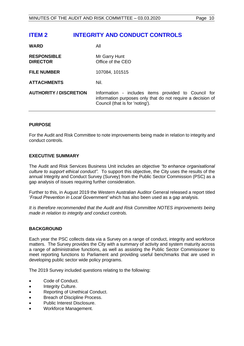# <span id="page-9-0"></span>**ITEM 2 INTEGRITY AND CONDUCT CONTROLS**

| <b>WARD</b>                           | All                                                                                                                                                    |
|---------------------------------------|--------------------------------------------------------------------------------------------------------------------------------------------------------|
| <b>RESPONSIBLE</b><br><b>DIRECTOR</b> | Mr Garry Hunt<br>Office of the CEO                                                                                                                     |
| <b>FILE NUMBER</b>                    | 107084, 101515                                                                                                                                         |
| <b>ATTACHMENTS</b>                    | Nil.                                                                                                                                                   |
| <b>AUTHORITY / DISCRETION</b>         | Information - includes items provided to Council for<br>information purposes only that do not require a decision of<br>Council (that is for 'noting'). |

# **PURPOSE**

For the Audit and Risk Committee to note improvements being made in relation to integrity and conduct controls.

#### **EXECUTIVE SUMMARY**

The Audit and Risk Services Business Unit includes an objective *"to enhance organisational culture to support ethical conduct".* To support this objective, the City uses the results of the annual Integrity and Conduct Survey (Survey) from the Public Sector Commission (PSC) as a gap analysis of issues requiring further consideration.

Further to this, in August 2019 the Western Australian Auditor General released a report titled '*Fraud Prevention in Local Government'* which has also been used as a gap analysis.

*It is therefore recommended that the Audit and Risk Committee NOTES improvements being made in relation to integrity and conduct controls.*

# **BACKGROUND**

Each year the PSC collects data via a Survey on a range of conduct, integrity and workforce matters. The Survey provides the City with a summary of activity and system maturity across a range of administrative functions, as well as assisting the Public Sector Commissioner to meet reporting functions to Parliament and providing useful benchmarks that are used in developing public sector wide policy programs.

The 2019 Survey included questions relating to the following:

- Code of Conduct.
- Integrity Culture.
- Reporting of Unethical Conduct.
- Breach of Discipline Process.
- Public Interest Disclosure.
- Workforce Management.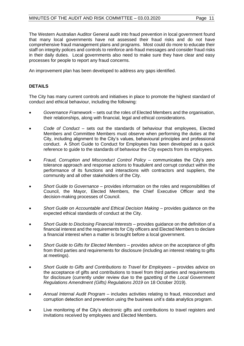The Western Australian Auditor General audit into fraud prevention in local government found that many local governments have not assessed their fraud risks and do not have comprehensive fraud management plans and programs. Most could do more to educate their staff on integrity polices and controls to reinforce anti-fraud messages and consider fraud risks in their daily duties. Local governments also need to make sure they have clear and easy processes for people to report any fraud concerns.

An improvement plan has been developed to address any gaps identified.

# **DETAILS**

The City has many current controls and initiatives in place to promote the highest standard of conduct and ethical behaviour, including the following:

- *Governance Framework* sets out the roles of Elected Members and the organisation, their relationships, along with financial, legal and ethical considerations.
- *Code of Conduct* sets out the standards of behaviour that employees, Elected Members and Committee Members must observe when performing the duties at the City, including alignment to the City's values, behavioural principles and professional conduct. A Short Guide to Conduct for Employees has been developed as a quick reference to guide to the standards of behaviour the City expects from its employees.
- *Fraud, Corruption and Misconduct Control Policy* communicates the City's zero tolerance approach and response actions to fraudulent and corrupt conduct within the performance of its functions and interactions with contractors and suppliers, the community and all other stakeholders of the City.
- *Short Guide to Governance* provides information on the roles and responsibilities of Council, the Mayor, Elected Members, the Chief Executive Officer and the decision-making processes of Council.
- *Short Guide on Accountable and Ethical Decision Making* provides guidance on the expected ethical standards of conduct at the City.
- *Short Guide to Disclosing Financial Interests* provides guidance on the definition of a financial interest and the requirements for City officers and Elected Members to declare a financial interest when a matter is brought before a local government.
- *Short Guide to Gifts for Elected Members* provides advice on the acceptance of gifts from third parties and requirements for disclosure (including an interest relating to gifts at meetings).
- *Short Guide to Gifts and Contributions to Travel for Employees* provides advice on the acceptance of gifts and contributions to travel from third parties and requirements for disclosure (currently under review due to the gazetting of the *Local Government Regulations Amendment (Gifts) Regulations 2019* on 18 October 2019).
- *Annual Internal Audit Program* includes activities relating to fraud, misconduct and corruption detection and prevention using the business unit's data analytics program.
- Live monitoring of the City's electronic gifts and contributions to travel registers and invitations received by employees and Elected Members.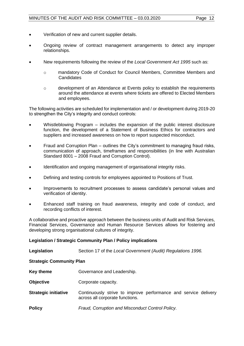- Verification of new and current supplier details.
- Ongoing review of contract management arrangements to detect any improper relationships.
- New requirements following the review of the *Local Government Act 1995* such as:
	- o mandatory Code of Conduct for Council Members, Committee Members and **Candidates**
	- o development of an Attendance at Events policy to establish the requirements around the attendance at events where tickets are offered to Elected Members and employees.

The following activities are scheduled for implementation and / or development during 2019-20 to strengthen the City's integrity and conduct controls:

- Whistleblowing Program includes the expansion of the public interest disclosure function, the development of a Statement of Business Ethics for contractors and suppliers and increased awareness on how to report suspected misconduct.
- Fraud and Corruption Plan outlines the City's commitment to managing fraud risks, communication of approach, timeframes and responsibilities (in line with Australian Standard 8001 – 2008 Fraud and Corruption Control).
- Identification and ongoing management of organisational integrity risks.
- Defining and testing controls for employees appointed to Positions of Trust.
- Improvements to recruitment processes to assess candidate's personal values and verification of identity.
- Enhanced staff training on fraud awareness, integrity and code of conduct, and recording conflicts of interest.

A collaborative and proactive approach between the business units of Audit and Risk Services, Financial Services, Governance and Human Resource Services allows for fostering and developing strong organisational cultures of integrity.

# **Legislation / Strategic Community Plan / Policy implications**

| Legislation                     | Section 17 of the Local Government (Audit) Regulations 1996.                                       |  |  |
|---------------------------------|----------------------------------------------------------------------------------------------------|--|--|
| <b>Strategic Community Plan</b> |                                                                                                    |  |  |
| Key theme                       | Governance and Leadership.                                                                         |  |  |
| <b>Objective</b>                | Corporate capacity.                                                                                |  |  |
| <b>Strategic initiative</b>     | Continuously strive to improve performance and service delivery<br>across all corporate functions. |  |  |
| <b>Policy</b>                   | Fraud, Corruption and Misconduct Control Policy.                                                   |  |  |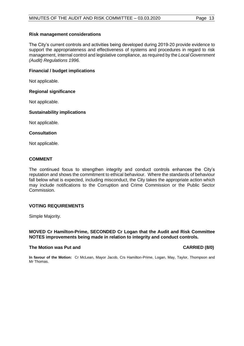# **Risk management considerations**

The City's current controls and activities being developed during 2019-20 provide evidence to support the appropriateness and effectiveness of systems and procedures in regard to risk management, internal control and legislative compliance, as required by the *Local Government (Audit) Regulations 1996.*

# **Financial / budget implications**

Not applicable.

# **Regional significance**

Not applicable.

# **Sustainability implications**

Not applicable.

# **Consultation**

Not applicable.

# **COMMENT**

The continued focus to strengthen integrity and conduct controls enhances the City's reputation and shows the commitment to ethical behaviour. Where the standards of behaviour fall below what is expected, including misconduct, the City takes the appropriate action which may include notifications to the Corruption and Crime Commission or the Public Sector Commission.

# **VOTING REQUIREMENTS**

Simple Majority.

# **MOVED Cr Hamilton-Prime, SECONDED Cr Logan that the Audit and Risk Committee NOTES improvements being made in relation to integrity and conduct controls.**

# **The Motion was Put and CARRIED (8/0)**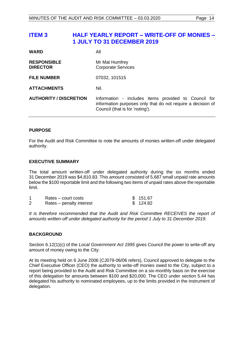# <span id="page-13-0"></span>**ITEM 3 HALF YEARLY REPORT – WRITE-OFF OF MONIES – 1 JULY TO 31 DECEMBER 2019**

| <b>WARD</b>                           | Αll                                                                                                                                                    |
|---------------------------------------|--------------------------------------------------------------------------------------------------------------------------------------------------------|
| <b>RESPONSIBLE</b><br><b>DIRECTOR</b> | Mr Mat Humfrey<br><b>Corporate Services</b>                                                                                                            |
| <b>FILE NUMBER</b>                    | 07032, 101515                                                                                                                                          |
| <b>ATTACHMENTS</b>                    | Nil.                                                                                                                                                   |
| <b>AUTHORITY / DISCRETION</b>         | Information - includes items provided to Council for<br>information purposes only that do not require a decision of<br>Council (that is for 'noting'). |

# **PURPOSE**

For the Audit and Risk Committee to note the amounts of monies written-off under delegated authority.

# **EXECUTIVE SUMMARY**

The total amount written-off under delegated authority during the six months ended 31 December 2019 was \$4,810.83. This amount consisted of 5,687 small unpaid rate amounts below the \$100 reportable limit and the following two items of unpaid rates above the reportable limit.

| Rates – court costs      | \$151.67 |
|--------------------------|----------|
| Rates – penalty interest | \$124.82 |

It is therefore recommended that the Audit and Risk Committee RECEIVES the report of *amounts written-off under delegated authority for the period 1 July to 31 December 2019.*

# **BACKGROUND**

Section 6.12(1)(c) of the *Local Government Act 1995* gives Council the power to write-off any amount of money owing to the City.

At its meeting held on 6 June 2006 (CJ079-06/06 refers), Council approved to delegate to the Chief Executive Officer (CEO) the authority to write-off monies owed to the City, subject to a report being provided to the Audit and Risk Committee on a six-monthly basis on the exercise of this delegation for amounts between \$100 and \$20,000. The CEO under section 5.44 has delegated his authority to nominated employees, up to the limits provided in the instrument of delegation.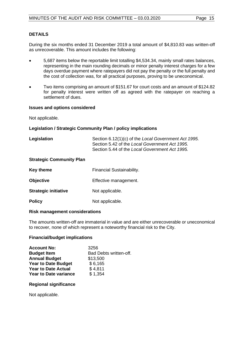# **DETAILS**

During the six months ended 31 December 2019 a total amount of \$4,810.83 was written-off as unrecoverable. This amount includes the following:

- 5,687 items below the reportable limit totalling \$4,534.34, mainly small rates balances, representing in the main rounding decimals or minor penalty interest charges for a few days overdue payment where ratepayers did not pay the penalty or the full penalty and the cost of collection was, for all practical purposes, proving to be uneconomical.
- Two items comprising an amount of \$151.67 for court costs and an amount of \$124.82 for penalty interest were written off as agreed with the ratepayer on reaching a settlement of dues.

#### **Issues and options considered**

Not applicable.

#### **Legislation / Strategic Community Plan / policy implications**

| Legislation | Section 6.12(1)(c) of the Local Government Act 1995. |
|-------------|------------------------------------------------------|
|             | Section 5.42 of the Local Government Act 1995.       |
|             | Section 5.44 of the Local Government Act 1995.       |

# **Strategic Community Plan**

| Key theme                   | <b>Financial Sustainability.</b> |
|-----------------------------|----------------------------------|
| <b>Objective</b>            | Effective management.            |
| <b>Strategic initiative</b> | Not applicable.                  |
| <b>Policy</b>               | Not applicable.                  |

#### **Risk management considerations**

The amounts written-off are immaterial in value and are either unrecoverable or uneconomical to recover, none of which represent a noteworthy financial risk to the City.

# **Financial/budget implications**

| <b>Account No:</b>           | 3256                   |
|------------------------------|------------------------|
| <b>Budget Item</b>           | Bad Debts written-off. |
| <b>Annual Budget</b>         | \$13,500               |
| <b>Year to Date Budget</b>   | \$6,165                |
| <b>Year to Date Actual</b>   | \$4,811                |
| <b>Year to Date variance</b> | \$1,354                |

#### **Regional significance**

Not applicable.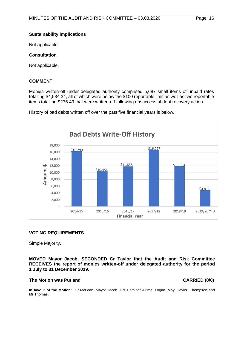Not applicable.

# **Consultation**

Not applicable.

#### **COMMENT**

Monies written-off under delegated authority comprised 5,687 small items of unpaid rates totalling \$4,534.34, all of which were below the \$100 reportable limit as well as two reportable items totalling \$276.49 that were written-off following unsuccessful debt recovery action.



History of bad debts written off over the past five financial years is below.

# **VOTING REQUIREMENTS**

Simple Majority.

**MOVED Mayor Jacob, SECONDED Cr Taylor that the Audit and Risk Committee RECEIVES the report of monies written-off under delegated authority for the period 1 July to 31 December 2019.**

#### **The Motion was Put and CARRIED (8/0)**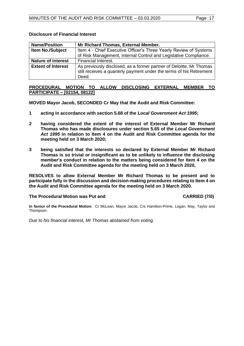| <b>Name/Position</b>      | Mr Richard Thomas, External Member.                                                                                                                  |  |
|---------------------------|------------------------------------------------------------------------------------------------------------------------------------------------------|--|
| Item No./Subject          | Item 4 - Chief Executive Officer's Three Yearly Review of Systems                                                                                    |  |
|                           | of Risk Management, Internal Control and Legislative Compliance.                                                                                     |  |
| <b>Nature of interest</b> | Financial Interest.                                                                                                                                  |  |
| <b>Extent of Interest</b> | As previously disclosed, as a former partner of Deloitte, Mr Thomas<br>still receives a quarterly payment under the terms of his Retirement<br>Deed. |  |

#### **Disclosure of Financial Interest**

# <span id="page-16-0"></span>**PROCEDURAL MOTION TO ALLOW DISCLOSING EXTERNAL MEMBER TO PARTICIPATE – [02154, 08122]**

**MOVED Mayor Jacob, SECONDED Cr May that the Audit and Risk Committee:**

- **1 acting in accordance with section 5.68 of the** *Local Government Act 1995***;**
- **2 having considered the extent of the interest of External Member Mr Richard Thomas who has made disclosures under section 5.65 of the** *Local Government Act 1995* **in relation to Item 4 on the Audit and Risk Committee agenda for the meeting held on 3 March 2020;**
- **3 being satisfied that the interests so declared by External Member Mr Richard Thomas is so trivial or insignificant as to be unlikely to influence the disclosing member's conduct in relation to the matters being considered for Item 4 on the Audit and Risk Committee agenda for the meeting held on 3 March 2020,**

**RESOLVES to allow External Member Mr Richard Thomas to be present and to participate fully in the discussion and decision-making procedures relating to Item 4 on the Audit and Risk Committee agenda for the meeting held on 3 March 2020.**

# The Procedural Motion was Put and **CARRIED** (7/0)

**In favour of the Procedural Motion:** Cr McLean, Mayor Jacob, Crs Hamilton-Prime, Logan, May, Taylor and Thompson.

*Due to his financial interest, Mr Thomas abstained from voting.*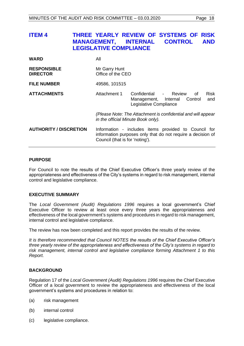<span id="page-17-0"></span>

| <b>ITEM4</b>                          | <b>MANAGEMENT, INTERNAL</b><br><b>LEGISLATIVE COMPLIANCE</b> | THREE YEARLY REVIEW OF SYSTEMS OF<br><b>RISK</b><br><b>CONTROL</b><br><b>AND</b>                                                                       |
|---------------------------------------|--------------------------------------------------------------|--------------------------------------------------------------------------------------------------------------------------------------------------------|
| <b>WARD</b>                           | All                                                          |                                                                                                                                                        |
| <b>RESPONSIBLE</b><br><b>DIRECTOR</b> | Mr Garry Hunt<br>Office of the CEO                           |                                                                                                                                                        |
| <b>FILE NUMBER</b>                    | 49586, 101515                                                |                                                                                                                                                        |
| <b>ATTACHMENTS</b>                    | Attachment 1                                                 | Confidential - Review<br><b>Risk</b><br>οf<br>Management, Internal<br>Control<br>and<br>Legislative Compliance                                         |
|                                       |                                                              | (Please Note: The Attachment is confidential and will appear<br>in the official Minute Book only).                                                     |
| <b>AUTHORITY / DISCRETION</b>         |                                                              | Information - includes items provided to Council for<br>information purposes only that do not require a decision of<br>Council (that is for 'noting'). |

# **PURPOSE**

For Council to note the results of the Chief Executive Officer's three yearly review of the appropriateness and effectiveness of the City's systems in regard to risk management, internal control and legislative compliance.

#### **EXECUTIVE SUMMARY**

The *Local Government (Audit) Regulations 1996* requires a local government's Chief Executive Officer to review at least once every three years the appropriateness and effectiveness of the local government's systems and procedures in regard to risk management, internal control and legislative compliance.

The review has now been completed and this report provides the results of the review.

*It is therefore recommended that Council NOTES the results of the Chief Executive Officer's three yearly review of the appropriateness and effectiveness of the City's systems in regard to risk management, internal control and legislative compliance forming Attachment 1 to this Report.*

#### **BACKGROUND**

Regulation 17 of the *Local Government (Audit) Regulations 1996* requires the Chief Executive Officer of a local government to review the appropriateness and effectiveness of the local government's systems and procedures in relation to:

- (a) risk management
- (b) internal control
- (c) legislative compliance.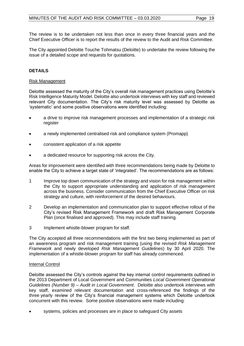The review is to be undertaken not less than once in every three financial years and the Chief Executive Officer is to report the results of the review to the Audit and Risk Committee.

The City appointed Deloitte Touche Tohmatsu (Deloitte) to undertake the review following the issue of a detailed scope and requests for quotations.

# **DETAILS**

# Risk Management

Deloitte assessed the maturity of the City's overall risk management practices using Deloitte's Risk Intelligence Maturity Model. Deloitte also undertook interviews with key staff and reviewed relevant City documentation. The City's risk maturity level was assessed by Deloitte as 'systematic' and some positive observations were identified including:

- a drive to improve risk management processes and implementation of a strategic risk register
- a newly implemented centralised risk and compliance system (Promapp)
- consistent application of a risk appetite
- a dedicated resource for supporting risk across the City.

Areas for improvement were identified with three recommendations being made by Deloitte to enable the City to achieve a target state of 'integrated'. The recommendations are as follows:

- 1 Improve top down communication of the strategy and vision for risk management within the City to support appropriate understanding and application of risk management across the business. Consider communication from the Chief Executive Officer on risk strategy and culture, with reinforcement of the desired behaviours.
- 2 Develop an implementation and communication plan to support effective rollout of the City's revised Risk Management Framework and draft Risk Management Corporate Plan (once finalised and approved). This may include staff training.
- 3 Implement whistle-blower program for staff.

The City accepted all three recommendations with the first two being implemented as part of an awareness program and risk management training (using the revised *Risk Management Framework* and newly developed *Risk Management Guidelines*) by 30 April 2020. The implementation of a whistle-blower program for staff has already commenced.

#### Internal Control

Deloitte assessed the City's controls against the key internal control requirements outlined in the 2013 Department of Local Government and Communities *Local Government Operational Guidelines (Number 9) – Audit in Local Government*. Deloitte also undertook interviews with key staff, examined relevant documentation and cross-referenced the findings of the three yearly review of the City's financial management systems which Deloitte undertook concurrent with this review. Some positive observations were made including:

systems, policies and processes are in place to safeguard City assets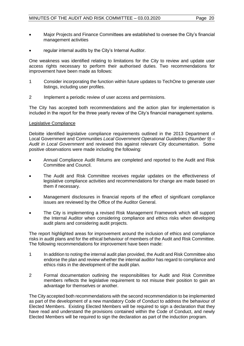- Major Projects and Finance Committees are established to oversee the City's financial management activities
- regular internal audits by the City's Internal Auditor.

One weakness was identified relating to limitations for the City to review and update user access rights necessary to perform their authorised duties. Two recommendations for improvement have been made as follows:

- 1 Consider incorporating the function within future updates to TechOne to generate user listings, including user profiles.
- 2 Implement a periodic review of user access and permissions.

The City has accepted both recommendations and the action plan for implementation is included in the report for the three yearly review of the City's financial management systems.

#### Legislative Compliance

Deloitte identified legislative compliance requirements outlined in the 2013 Department of Local Government and Communities *Local Government Operational Guidelines (Number 9) – Audit in Local Government* and reviewed this against relevant City documentation. Some positive observations were made including the following:

- Annual Compliance Audit Returns are completed and reported to the Audit and Risk Committee and Council.
- The Audit and Risk Committee receives regular updates on the effectiveness of legislative compliance activities and recommendations for change are made based on them if necessary.
- Management disclosures in financial reports of the effect of significant compliance issues are reviewed by the Office of the Auditor General.
- The City is implementing a revised Risk Management Framework which will support the Internal Auditor when considering compliance and ethics risks when developing audit plans and considering audit projects.

The report highlighted areas for improvement around the inclusion of ethics and compliance risks in audit plans and for the ethical behaviour of members of the Audit and Risk Committee. The following recommendations for improvement have been made:

- 1 In addition to noting the internal audit plan provided, the Audit and Risk Committee also endorse the plan and review whether the internal auditor has regard to compliance and ethics risks in the development of the audit plan.
- 2 Formal documentation outlining the responsibilities for Audit and Risk Committee members reflects the legislative requirement to not misuse their position to gain an advantage for themselves or another.

The City accepted both recommendations with the second recommendation to be implemented as part of the development of a new mandatory Code of Conduct to address the behaviour of Elected Members. Existing Elected Members will be required to sign a declaration that they have read and understand the provisions contained within the Code of Conduct, and newly Elected Members will be required to sign the declaration as part of the induction program.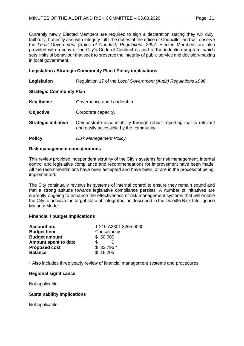Currently newly Elected Members are required to sign a declaration stating they will duly, faithfully, honestly and with integrity fulfil the duties of the office of Councillor and will observe the *Local Government (Rules of Conduct) Regulations 2007*. Elected Members are also provided with a copy of the City's Code of Conduct as part of the induction program, which sets limits of behaviour that seek to preserve the integrity of public service and decision-making in local government.

# **Legislation / Strategic Community Plan / Policy implications**

**Legislation** Regulation 17 of the *Local Government (Audit) Regulations 1996.*

# **Strategic Community Plan**

| <b>Key theme</b> | Governance and Leadership. |
|------------------|----------------------------|
|------------------|----------------------------|

**Objective Corporate capacity.** 

**Strategic initiative** Demonstrate accountability through robust reporting that is relevant and easily accessible by the community.

**Policy** *Risk Management Policy.*

#### **Risk management considerations**

This review provided independent scrutiny of the City's systems for risk management, internal control and legislative compliance and recommendations for improvement have been made. All the recommendations have been accepted and have been, or are in the process of being, implemented.

The City continually reviews its systems of internal control to ensure they remain sound and that a strong attitude towards legislative compliance persists. A number of initiatives are currently ongoing to enhance the effectiveness of risk management systems that will enable the City to achieve the target state of 'integrated' as described in the Deloitte Risk Intelligence Maturity Model.

# **Financial / budget implications**

| Account no.          | 1.210.A2301.3265.0000 |  |
|----------------------|-----------------------|--|
| <b>Budget Item</b>   | Consultancy           |  |
| <b>Budget amount</b> | \$50,000              |  |
| Amount spent to date |                       |  |
| <b>Proposed cost</b> | \$33,795              |  |
| <b>Balance</b>       | \$16,205              |  |

\* Also includes three yearly review of financial management systems and procedures.

# **Regional significance**

Not applicable.

# **Sustainability implications**

Not applicable.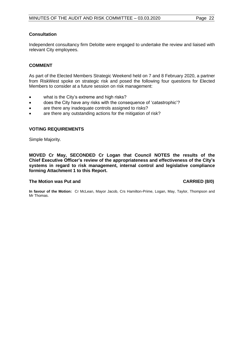# **Consultation**

Independent consultancy firm Deloitte were engaged to undertake the review and liaised with relevant City employees.

# **COMMENT**

As part of the Elected Members Strategic Weekend held on 7 and 8 February 2020, a partner from RiskWest spoke on strategic risk and posed the following four questions for Elected Members to consider at a future session on risk management:

- what is the City's extreme and high risks?
- does the City have any risks with the consequence of 'catastrophic'?
- are there any inadequate controls assigned to risks?
- are there any outstanding actions for the mitigation of risk?

# **VOTING REQUIREMENTS**

Simple Majority.

**MOVED Cr May, SECONDED Cr Logan that Council NOTES the results of the Chief Executive Officer's review of the appropriateness and effectiveness of the City's systems in regard to risk management, internal control and legislative compliance forming Attachment 1 to this Report.**

# **The Motion was Put and CARRIED (8/0)**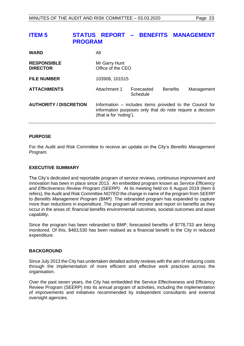# <span id="page-22-0"></span>**ITEM 5 STATUS REPORT – BENEFITS MANAGEMENT PROGRAM**

| <b>WARD</b>                           | All                                                                                                                                              |                        |                 |            |
|---------------------------------------|--------------------------------------------------------------------------------------------------------------------------------------------------|------------------------|-----------------|------------|
| <b>RESPONSIBLE</b><br><b>DIRECTOR</b> | Mr Garry Hunt<br>Office of the CEO                                                                                                               |                        |                 |            |
| <b>FILE NUMBER</b>                    | 103906, 101515                                                                                                                                   |                        |                 |            |
| <b>ATTACHMENTS</b>                    | Attachment 1                                                                                                                                     | Forecasted<br>Schedule | <b>Benefits</b> | Management |
| <b>AUTHORITY / DISCRETION</b>         | Information – includes items provided to the Council for<br>information purposes only that do note require a decision<br>(that is for 'noting'). |                        |                 |            |

#### **PURPOSE**

For the Audit and Risk Committee to receive an update on the City's *Benefits Management Program.*

#### **EXECUTIVE SUMMARY**

The City's dedicated and reportable program of service reviews, continuous improvement and innovation has been in place since 2013. An embedded program known as *Service Efficiency and Effectiveness Review Program (SEERP)*. At its meeting held on 6 August 2019 (Item 6 refers), the Audit and Risk Committee *NOTED* the change in name of the program from *SEERP* to *Benefits Management Program (BMP).* The rebranded program has expanded to capture more than reductions in expenditure. The program will monitor and report on benefits as they occur in the areas of; financial benefits environmental outcomes, societal outcomes and asset capability.

Since the program has been rebranded to BMP, forecasted benefits of \$778,733 are being monitored. Of this, \$483,530 has been realised as a financial benefit to the City in reduced expenditure.

#### **BACKGROUND**

Since July 2013 the City has undertaken detailed activity reviews with the aim of reducing costs through the implementation of more efficient and effective work practices across the organisation.

Over the past seven years, the City has embedded the Service Effectiveness and Efficiency Review Program (SEERP) into its annual program of activities, including the implementation of improvements and initiatives recommended by independent consultants and external oversight agencies.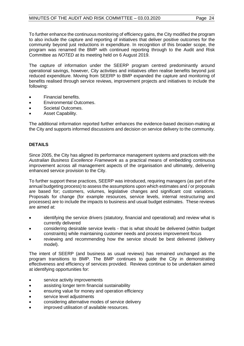To further enhance the continuous monitoring of efficiency gains, the City modified the program to also include the capture and reporting of initiatives that deliver positive outcomes for the community beyond just reductions in expenditure. In recognition of this broader scope, the program was renamed the BMP with continued reporting through to the Audit and Risk Committee as *NOTED* at its meeting held on 6 August 2019.

The capture of information under the SEERP program centred predominantly around operational savings, however, City activities and initiatives often realise benefits beyond just reduced expenditure. Moving from SEERP to BMP expanded the capture and monitoring of benefits realised through service reviews, improvement projects and initiatives to include the following:

- Financial benefits.
- Environmental Outcomes.
- Societal Outcomes.
- Asset Capability.

The additional information reported further enhances the evidence-based decision-making at the City and supports informed discussions and decision on service delivery to the community.

# **DETAILS**

Since 2005, the City has aligned its performance management systems and practices with the *Australian Business Excellence Framework* as a practical means of embedding continuous improvement across all management aspects of the organisation and ultimately, delivering enhanced service provision to the City.

To further support these practices, SEERP was introduced, requiring managers (as part of the annual budgeting process) to assess the assumptions upon which estimates and / or proposals are based for; customers, volumes, legislative changes and significant cost variations. Proposals for change (for example resources, service levels, internal restructuring and processes) are to include the impacts to business and usual budget estimates. These reviews are aimed at:

- identifying the service drivers (statutory, financial and operational) and review what is currently delivered
- considering desirable service levels that is what should be delivered (within budget constraints) while maintaining customer needs and process improvement focus
- reviewing and recommending how the service should be best delivered (delivery model).

The intent of SEERP (and business as usual reviews) has remained unchanged as the program transitions to BMP. The BMP continues to guide the City in demonstrating effectiveness and efficiency of services provided. Reviews continue to be undertaken aimed at identifying opportunities for:

- service activity improvements
- assisting longer term financial sustainability
- ensuring value for money and operation efficiency
- service level adjustments
- considering alternative modes of service delivery
- improved utilisation of available resources.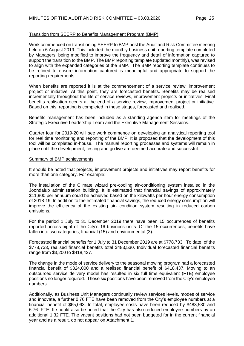# Transition from SEERP to Benefits Management Program (BMP)

Work commenced on transitioning SEERP to BMP post the Audit and Risk Committee meeting held on 6 August 2019. This included the monthly business unit reporting template completed by Managers, being modified to improve the frequency and detail of information captured to support the transition to the BMP. The BMP reporting template (updated monthly), was revised to align with the expanded categories of the BMP. The BMP reporting template continues to be refined to ensure information captured is meaningful and appropriate to support the reporting requirements.

When benefits are reported it is at the commencement of a service review, improvement project or initiative. At this point, they are forecasted benefits. Benefits may be realised incrementally throughout the life of service reviews, improvement projects or initiatives. Final benefits realisation occurs at the end of a service review, improvement project or initiative. Based on this, reporting is completed in these stages, forecasted and realised.

Benefits management has been included as a standing agenda item for meetings of the Strategic Executive Leadership Team and the Executive Management Sessions.

Quarter four for 2019-20 will see work commence on developing an analytical reporting tool for real time monitoring and reporting of the BMP. It is proposed that the development of this tool will be completed in-house. The manual reporting processes and systems will remain in place until the development, testing and go live are deemed accurate and successful.

#### Summary of BMP achievements

It should be noted that projects, improvement projects and initiatives may report benefits for more than one category. For example:

The installation of the Climate wizard pre-cooling air-conditioning system installed in the Joondalup administration building. It is estimated that financial savings of approximately \$11,900 per annuum could be achieved based on the kilowatts per hour energy consumption of 2018-19. In addition to the estimated financial savings, the reduced energy consumption will improve the efficiency of the existing air- condition system resulting in reduced carbon emissions.

For the period 1 July to 31 December 2019 there have been 15 occurrences of benefits reported across eight of the City's 16 business units. Of the 15 occurrences, benefits have fallen into two categories; financial (15) and environmental (3).

Forecasted financial benefits for 1 July to 31 December 2019 are at \$778,733. To date, of the \$778,733, realised financial benefits total \$483,530. Individual forecasted financial benefits range from \$3,200 to \$418,437.

The change in the mode of service delivery to the seasonal mowing program had a forecasted financial benefit of \$324,000 and a realised financial benefit of \$418,437. Moving to an outsourced service delivery model has resulted in six full time equivalent (FTE) employee positions no longer required. These six positions have been removed from the City's employee numbers.

Additionally, as Business Unit Managers continually review services levels, modes of service and innovate, a further 0.76 FTE have been removed from the City's employee numbers at a financial benefit of \$65,093. In total, employee costs have been reduced by \$483,530 and 6.76 FTE. It should also be noted that the City has also reduced employee numbers by an additional 1.32 FTE. The vacant positions had not been budgeted for in the current financial year and as a result, do not appear on Attachment 1.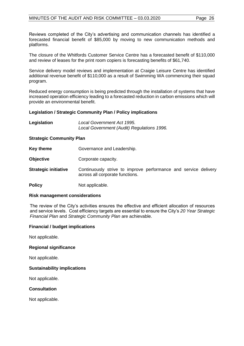Reviews completed of the City's advertising and communication channels has identified a forecasted financial benefit of \$85,000 by moving to new communication methods and platforms.

The closure of the Whitfords Customer Service Centre has a forecasted benefit of \$110,000 and review of leases for the print room copiers is forecasting benefits of \$61,740.

Service delivery model reviews and implementation at Craigie Leisure Centre has identified additional revenue benefit of \$110,000 as a result of Swimming WA commencing their squad program.

Reduced energy consumption is being predicted through the installation of systems that have increased operation efficiency leading to a forecasted reduction in carbon emissions which will provide an environmental benefit.

# **Legislation / Strategic Community Plan / Policy implications**

| Legislation | Local Government Act 1995.                 |  |  |
|-------------|--------------------------------------------|--|--|
|             | Local Government (Audit) Regulations 1996. |  |  |

#### **Strategic Community Plan**

- **Key theme Governance and Leadership.**
- **Objective Corporate capacity.**

**Strategic initiative** Continuously strive to improve performance and service delivery across all corporate functions.

**Policy** Not applicable.

#### **Risk management considerations**

The review of the City's activities ensures the effective and efficient allocation of resources and service levels. Cost efficiency targets are essential to ensure the City's *20 Year Strategic Financial Plan* and *Strategic Community Plan* are achievable.

#### **Financial / budget implications**

Not applicable.

#### **Regional significance**

Not applicable.

#### **Sustainability implications**

Not applicable.

# **Consultation**

Not applicable.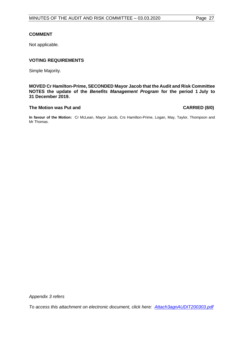# **COMMENT**

Not applicable.

# **VOTING REQUIREMENTS**

Simple Majority.

# **MOVED Cr Hamilton-Prime, SECONDED Mayor Jacob that the Audit and Risk Committee NOTES the update of the** *Benefits Management Program* **for the period 1 July to 31 December 2019.**

#### **The Motion was Put and CARRIED (8/0)**

**In favour of the Motion:** Cr McLean, Mayor Jacob, Crs Hamilton-Prime, Logan, May, Taylor, Thompson and Mr Thomas.

*Appendix 3 refers*

*To access this attachment on electronic document, click here: [Attach3agnAUDIT200303.pdf](http://www.joondalup.wa.gov.au/files/committees/AURI/2020/Attach3agnAUDIT200303.pdf)*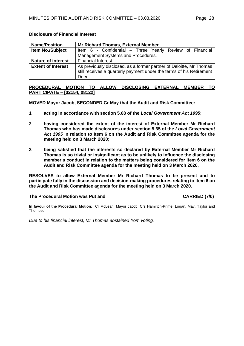| <b>Name/Position</b>      | Mr Richard Thomas, External Member.                                  |  |  |
|---------------------------|----------------------------------------------------------------------|--|--|
| <b>Item No./Subject</b>   | Item 6 - Confidential – Three Yearly Review of Financial             |  |  |
|                           | Management Systems and Procedures.                                   |  |  |
| <b>Nature of interest</b> | Financial Interest.                                                  |  |  |
| <b>Extent of Interest</b> | As previously disclosed, as a former partner of Deloitte, Mr Thomas  |  |  |
|                           | still receives a quarterly payment under the terms of his Retirement |  |  |
|                           | Deed.                                                                |  |  |

#### **Disclosure of Financial Interest**

# <span id="page-27-0"></span>**PROCEDURAL MOTION TO ALLOW DISCLOSING EXTERNAL MEMBER TO PARTICIPATE – [02154, 08122]**

**MOVED Mayor Jacob, SECONDED Cr May that the Audit and Risk Committee:**

- **1 acting in accordance with section 5.68 of the** *Local Government Act 1995***;**
- **2 having considered the extent of the interest of External Member Mr Richard Thomas who has made disclosures under section 5.65 of the** *Local Government Act 1995* **in relation to Item 6 on the Audit and Risk Committee agenda for the meeting held on 3 March 2020;**
- **3 being satisfied that the interests so declared by External Member Mr Richard Thomas is so trivial or insignificant as to be unlikely to influence the disclosing member's conduct in relation to the matters being considered for Item 6 on the Audit and Risk Committee agenda for the meeting held on 3 March 2020,**

**RESOLVES to allow External Member Mr Richard Thomas to be present and to participate fully in the discussion and decision-making procedures relating to Item 6 on the Audit and Risk Committee agenda for the meeting held on 3 March 2020.**

# The Procedural Motion was Put and **CARRIED** (7/0)

**In favour of the Procedural Motion:** Cr McLean, Mayor Jacob, Crs Hamilton-Prime, Logan, May, Taylor and Thompson.

*Due to his financial interest, Mr Thomas abstained from voting.*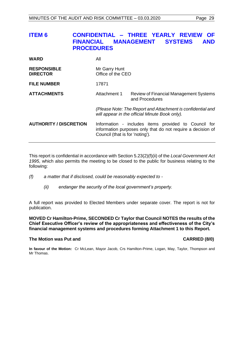<span id="page-28-0"></span>

| <b>ITEM 6</b>                         | <b>FINANCIAL</b><br><b>PROCEDURES</b> | CONFIDENTIAL - THREE YEARLY REVIEW<br><b>OF</b><br><b>SYSTEMS</b><br><b>MANAGEMENT</b><br><b>AND</b>                |
|---------------------------------------|---------------------------------------|---------------------------------------------------------------------------------------------------------------------|
| <b>WARD</b>                           | All                                   |                                                                                                                     |
| <b>RESPONSIBLE</b><br><b>DIRECTOR</b> | Mr Garry Hunt<br>Office of the CEO    |                                                                                                                     |
| <b>FILE NUMBER</b>                    | 17871                                 |                                                                                                                     |
| <b>ATTACHMENTS</b>                    | Attachment 1                          | <b>Review of Financial Management Systems</b><br>and Procedures                                                     |
|                                       |                                       | (Please Note: The Report and Attachment is confidential and<br>will appear in the official Minute Book only).       |
| <b>AUTHORITY / DISCRETION</b>         | Council (that is for 'noting').       | Information - includes items provided to Council for<br>information purposes only that do not require a decision of |

This report is confidential in accordance with Section 5.23(2)(f)(ii) of the *Local Government Act 1995*, which also permits the meeting to be closed to the public for business relating to the following:

- *(f) a matter that if disclosed, could be reasonably expected to -*
	- *(ii) endanger the security of the local government's property.*

A full report was provided to Elected Members under separate cover. The report is not for publication.

#### **MOVED Cr Hamilton-Prime, SECONDED Cr Taylor that Council NOTES the results of the Chief Executive Officer's review of the appropriateness and effectiveness of the City's financial management systems and procedures forming Attachment 1 to this Report.**

#### **The Motion was Put and CARRIED (8/0)**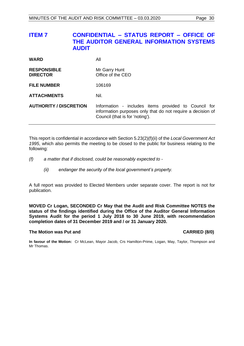# <span id="page-29-0"></span>**ITEM 7 CONFIDENTIAL – STATUS REPORT – OFFICE OF THE AUDITOR GENERAL INFORMATION SYSTEMS AUDIT**

| <b>WARD</b>                           | All                                                                                                                                                    |
|---------------------------------------|--------------------------------------------------------------------------------------------------------------------------------------------------------|
| <b>RESPONSIBLE</b><br><b>DIRECTOR</b> | Mr Garry Hunt<br>Office of the CEO                                                                                                                     |
| <b>FILE NUMBER</b>                    | 106169                                                                                                                                                 |
| <b>ATTACHMENTS</b>                    | Nil.                                                                                                                                                   |
| <b>AUTHORITY / DISCRETION</b>         | Information - includes items provided to Council for<br>information purposes only that do not require a decision of<br>Council (that is for 'noting'). |

This report is confidential in accordance with Section 5.23(2)(f)(ii) of the *Local Government Act 1995*, which also permits the meeting to be closed to the public for business relating to the following:

- *(f) a matter that if disclosed, could be reasonably expected to -*
	- *(ii) endanger the security of the local government's property.*

A full report was provided to Elected Members under separate cover. The report is not for publication.

**MOVED Cr Logan, SECONDED Cr May that the Audit and Risk Committee NOTES the status of the findings identified during the Office of the Auditor General Information Systems Audit for the period 1 July 2018 to 30 June 2019, with recommendation completion dates of 31 December 2019 and / or 31 January 2020.**

#### **The Motion was Put and CARRIED (8/0)**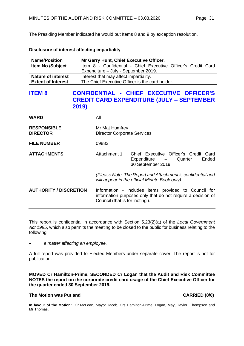The Presiding Member indicated he would put Items 8 and 9 by exception resolution.

#### **Disclosure of interest affecting impartiality**

| <b>Name/Position</b>      | Mr Garry Hunt, Chief Executive Officer.                       |
|---------------------------|---------------------------------------------------------------|
| <b>Item No./Subject</b>   | Item 8 - Confidential - Chief Executive Officer's Credit Card |
|                           | Expenditure - July - September 2019.                          |
| <b>Nature of interest</b> | Interest that may affect impartiality.                        |
| <b>Extent of Interest</b> | The Chief Executive Officer is the card holder.               |

# <span id="page-30-0"></span>**ITEM 8 CONFIDENTIAL - CHIEF EXECUTIVE OFFICER'S CREDIT CARD EXPENDITURE (JULY – SEPTEMBER 2019)**

| <b>WARD</b>                           | All                                                                                                                                                    |                                                                                              |  |
|---------------------------------------|--------------------------------------------------------------------------------------------------------------------------------------------------------|----------------------------------------------------------------------------------------------|--|
| <b>RESPONSIBLE</b><br><b>DIRECTOR</b> | Mr Mat Humfrey<br><b>Director Corporate Services</b>                                                                                                   |                                                                                              |  |
| <b>FILE NUMBER</b>                    | 09882                                                                                                                                                  |                                                                                              |  |
| <b>ATTACHMENTS</b>                    | Attachment 1                                                                                                                                           | Chief Executive Officer's Credit Card<br>Ended<br>Expenditure - Quarter<br>30 September 2019 |  |
|                                       | (Please Note: The Report and Attachment is confidential and<br>will appear in the official Minute Book only).                                          |                                                                                              |  |
| <b>AUTHORITY / DISCRETION</b>         | Information - includes items provided to Council for<br>information purposes only that do not require a decision of<br>Council (that is for 'noting'). |                                                                                              |  |

This report is confidential in accordance with Section 5.23(2)(a) of the *Local Government Act 1995*, which also permits the meeting to be closed to the public for business relating to the following:

• *a matter affecting an employee.*

A full report was provided to Elected Members under separate cover. The report is not for publication.

**MOVED Cr Hamilton-Prime, SECONDED Cr Logan that the Audit and Risk Committee NOTES the report on the corporate credit card usage of the Chief Executive Officer for the quarter ended 30 September 2019.**

# **The Motion was Put and CARRIED (8/0)**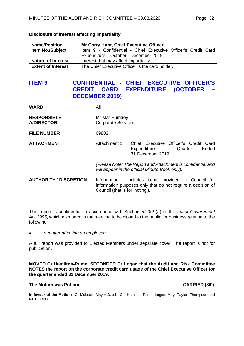| <b>Name/Position</b>      | Mr Garry Hunt, Chief Executive Officer.                       |
|---------------------------|---------------------------------------------------------------|
| <b>Item No./Subject</b>   | Item 9 - Confidential - Chief Executive Officer's Credit Card |
|                           | Expenditure – October - December 2019.                        |
| <b>Nature of interest</b> | Interest that may affect impartiality.                        |
| <b>Extent of Interest</b> | The Chief Executive Officer is the card holder.               |

#### **Disclosure of interest affecting impartiality**

# <span id="page-31-0"></span>**ITEM 9 CONFIDENTIAL - CHIEF EXECUTIVE OFFICER'S CREDIT CARD EXPENDITURE (OCTOBER – DECEMBER 2019)**

| <b>WARD</b>                             | All                                                                                                                                                    |                                                                                             |  |
|-----------------------------------------|--------------------------------------------------------------------------------------------------------------------------------------------------------|---------------------------------------------------------------------------------------------|--|
| <b>RESPONSIBLE</b><br><b>A/DIRECTOR</b> | Mr Mat Humfrey<br><b>Corporate Services</b>                                                                                                            |                                                                                             |  |
| <b>FILE NUMBER</b>                      | 09882                                                                                                                                                  |                                                                                             |  |
| <b>ATTACHMENT</b>                       | Attachment 1                                                                                                                                           | Chief Executive Officer's Credit Card<br>Ended<br>Expenditure - Quarter<br>31 December 2019 |  |
|                                         | (Please Note: The Report and Attachment is confidential and<br>will appear in the official Minute Book only).                                          |                                                                                             |  |
| <b>AUTHORITY / DISCRETION</b>           | Information - includes items provided to Council for<br>information purposes only that do not require a decision of<br>Council (that is for 'noting'). |                                                                                             |  |

This report is confidential in accordance with Section 5.23(2)(a) of the *Local Government Act 1995*, which also permits the meeting to be closed to the public for business relating to the following:

• *a matter affecting an employee.*

A full report was provided to Elected Members under separate cover. The report is not for publication.

**MOVED Cr Hamilton-Prime, SECONDED Cr Logan that the Audit and Risk Committee NOTES the report on the corporate credit card usage of the Chief Executive Officer for the quarter ended 31 December 2019.**

#### **The Motion was Put and CARRIED (8/0)**